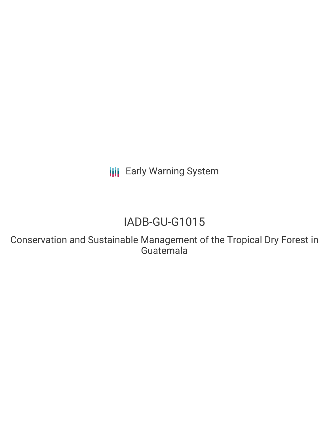**III** Early Warning System

# IADB-GU-G1015

Conservation and Sustainable Management of the Tropical Dry Forest in Guatemala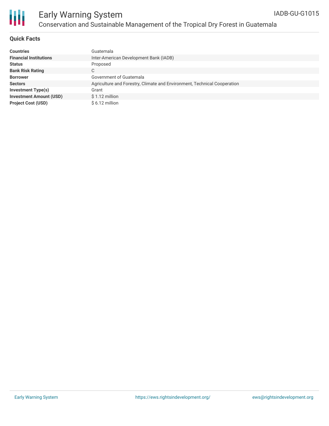

## Early Warning System Conservation and Sustainable Management of the Tropical Dry Forest in Guatemala

### **Quick Facts**

| <b>Countries</b>               | Guatemala                                                                |
|--------------------------------|--------------------------------------------------------------------------|
| <b>Financial Institutions</b>  | Inter-American Development Bank (IADB)                                   |
| <b>Status</b>                  | Proposed                                                                 |
| <b>Bank Risk Rating</b>        | C                                                                        |
| <b>Borrower</b>                | Government of Guatemala                                                  |
| <b>Sectors</b>                 | Agriculture and Forestry, Climate and Environment, Technical Cooperation |
| <b>Investment Type(s)</b>      | Grant                                                                    |
| <b>Investment Amount (USD)</b> | $$1.12$ million                                                          |
| <b>Project Cost (USD)</b>      | $$6.12$ million                                                          |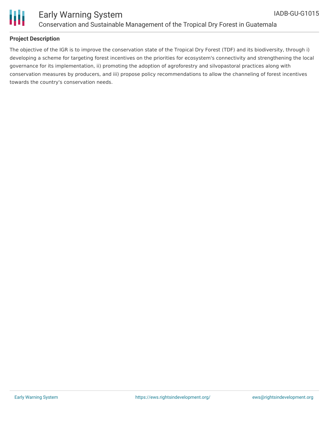

**Project Description**

towards the country's conservation needs.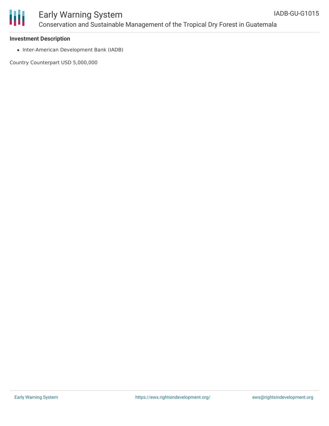

## Early Warning System Conservation and Sustainable Management of the Tropical Dry Forest in Guatemala

#### **Investment Description**

• Inter-American Development Bank (IADB)

Country Counterpart USD 5,000,000